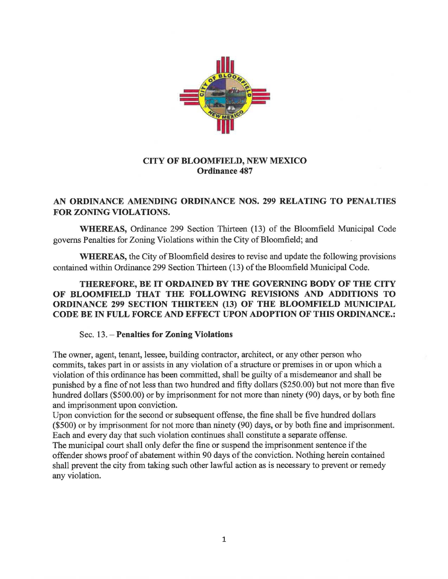

## **CITY OF BLOOMFIELD, NEW MEXICO Ordinance 487**

## **AN ORDINANCE AMENDING ORDINANCE NOS. 299 RELATING TO PENALTIES FOR ZONING VIOLATIONS.**

**WHEREAS,** Ordinance 299 Section Thirteen (13) of the Bloomfield Municipal Code governs Penalties for Zoning Violations within the City of Bloomfield; and

**WHEREAS,** the City of Bloomfield desires to revise and update the following provisions contained within Ordinance 299 Section Thirteen (13) of the Bloomfield Municipal Code.

## **THEREFORE, BE IT ORDAINED BY THE GOVERNING BODY OF THE CITY OF BLOOMFIELD THAT THE FOLLOWING REVISIONS AND ADDITIONS TO ORDINANCE 299 SECTION THIRTEEN (13) OF THE BLOOMFIELD MUNICIPAL CODE BE IN FULL FORCE AND EFFECT UPON ADOPTION OF THIS ORDINANCE.:**

## Sec. 13. - **Penalties for Zoning Violations**

The owner, agent, tenant, lessee, building contractor, architect, or any other person who commits, takes part in or assists in any violation of a structure or premises in or upon which a violation of this ordinance has been committed, shall be guilty of a misdemeanor and shall be punished by a fine of not less than two hundred and fifty dollars (\$250.00) but not more than five hundred dollars (\$500.00) or by imprisonment for not more than ninety (90) days, or by both fine and imprisonment upon conviction.

Upon conviction for the second or subsequent offense, the fine shall be five hundred dollars (\$500) or by imprisonment for not more than ninety (90) days, or by both fine and imprisonment. Each and every day that such violation continues shall constitute a separate offense.

The municipal court shall only defer the fine or suspend the imprisonment sentence if the offender shows proof of abatement within 90 days of the conviction. Nothing herein contained shall prevent the city from taking such other lawful action as is necessary to prevent or remedy any violation.